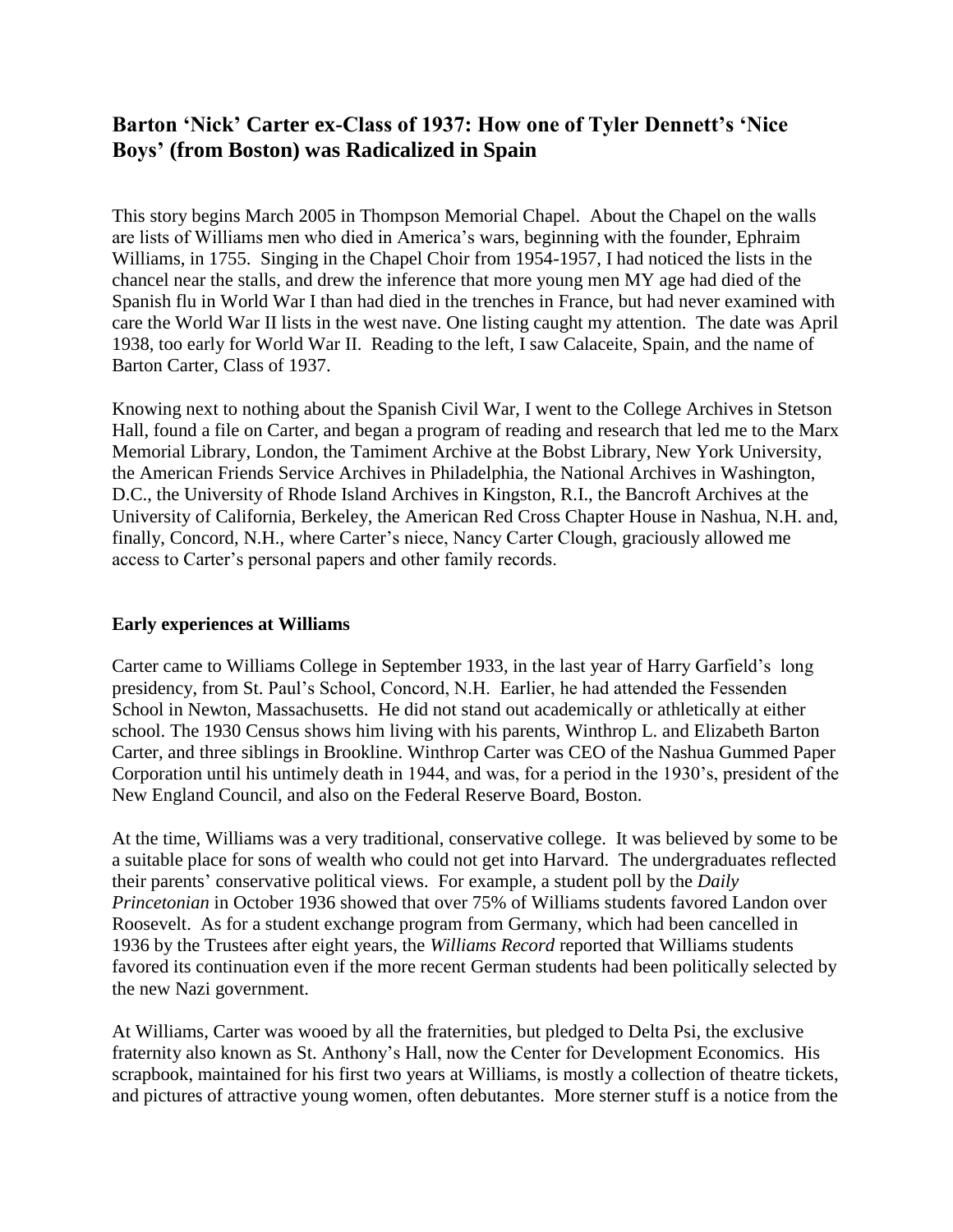# **Barton 'Nick' Carter ex-Class of 1937: How one of Tyler Dennett's 'Nice Boys' (from Boston) was Radicalized in Spain**

This story begins March 2005 in Thompson Memorial Chapel. About the Chapel on the walls are lists of Williams men who died in America"s wars, beginning with the founder, Ephraim Williams, in 1755. Singing in the Chapel Choir from 1954-1957, I had noticed the lists in the chancel near the stalls, and drew the inference that more young men MY age had died of the Spanish flu in World War I than had died in the trenches in France, but had never examined with care the World War II lists in the west nave. One listing caught my attention. The date was April 1938, too early for World War II. Reading to the left, I saw Calaceite, Spain, and the name of Barton Carter, Class of 1937.

Knowing next to nothing about the Spanish Civil War, I went to the College Archives in Stetson Hall, found a file on Carter, and began a program of reading and research that led me to the Marx Memorial Library, London, the Tamiment Archive at the Bobst Library, New York University, the American Friends Service Archives in Philadelphia, the National Archives in Washington, D.C., the University of Rhode Island Archives in Kingston, R.I., the Bancroft Archives at the University of California, Berkeley, the American Red Cross Chapter House in Nashua, N.H. and, finally, Concord, N.H., where Carter's niece, Nancy Carter Clough, graciously allowed me access to Carter"s personal papers and other family records.

## **Early experiences at Williams**

Carter came to Williams College in September 1933, in the last year of Harry Garfield"s long presidency, from St. Paul"s School, Concord, N.H. Earlier, he had attended the Fessenden School in Newton, Massachusetts. He did not stand out academically or athletically at either school. The 1930 Census shows him living with his parents, Winthrop L. and Elizabeth Barton Carter, and three siblings in Brookline. Winthrop Carter was CEO of the Nashua Gummed Paper Corporation until his untimely death in 1944, and was, for a period in the 1930"s, president of the New England Council, and also on the Federal Reserve Board, Boston.

At the time, Williams was a very traditional, conservative college. It was believed by some to be a suitable place for sons of wealth who could not get into Harvard. The undergraduates reflected their parents" conservative political views. For example, a student poll by the *Daily Princetonian* in October 1936 showed that over 75% of Williams students favored Landon over Roosevelt. As for a student exchange program from Germany, which had been cancelled in 1936 by the Trustees after eight years, the *Williams Record* reported that Williams students favored its continuation even if the more recent German students had been politically selected by the new Nazi government.

At Williams, Carter was wooed by all the fraternities, but pledged to Delta Psi, the exclusive fraternity also known as St. Anthony"s Hall, now the Center for Development Economics. His scrapbook, maintained for his first two years at Williams, is mostly a collection of theatre tickets, and pictures of attractive young women, often debutantes. More sterner stuff is a notice from the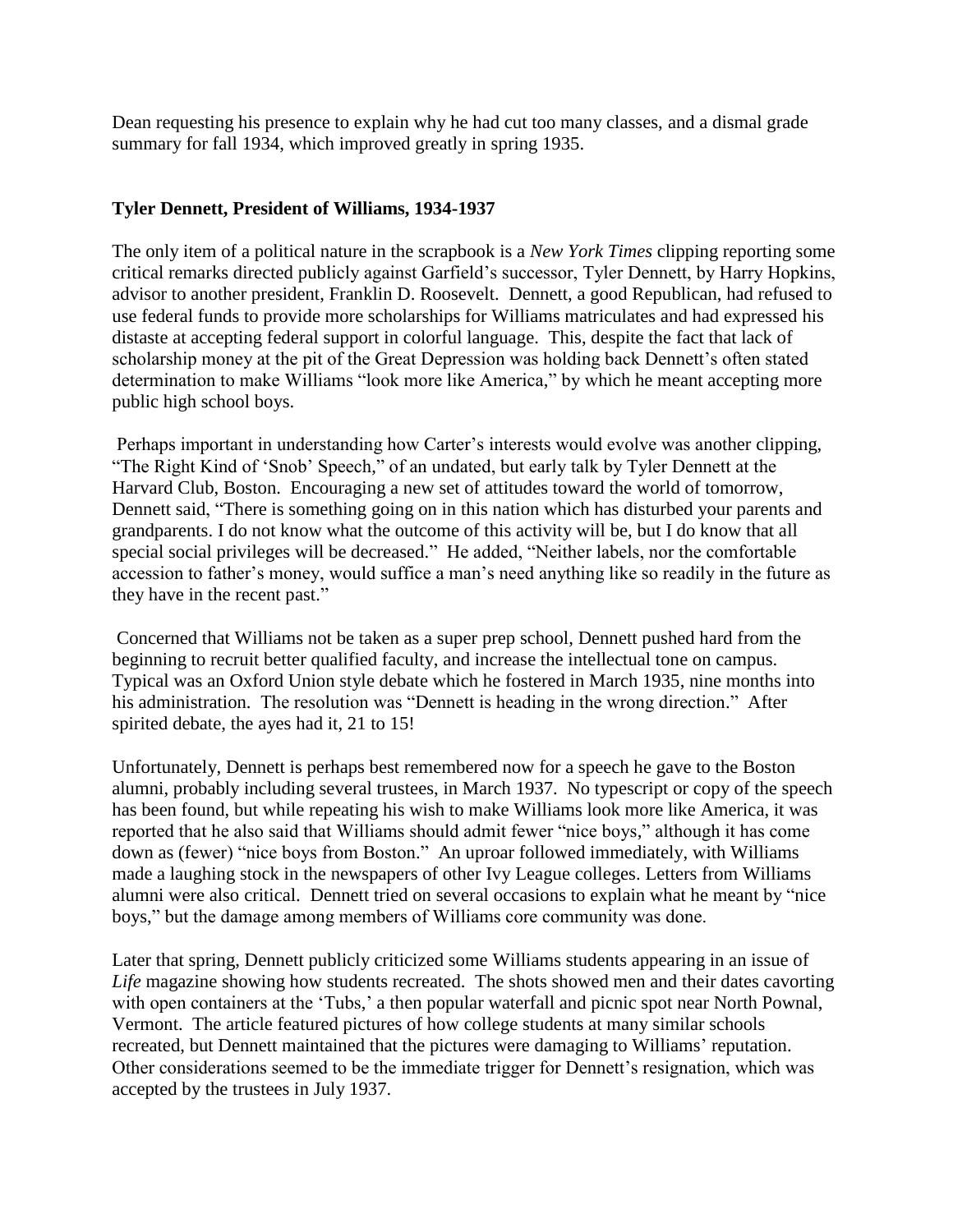Dean requesting his presence to explain why he had cut too many classes, and a dismal grade summary for fall 1934, which improved greatly in spring 1935.

## **Tyler Dennett, President of Williams, 1934-1937**

The only item of a political nature in the scrapbook is a *New York Times* clipping reporting some critical remarks directed publicly against Garfield"s successor, Tyler Dennett, by Harry Hopkins, advisor to another president, Franklin D. Roosevelt. Dennett, a good Republican, had refused to use federal funds to provide more scholarships for Williams matriculates and had expressed his distaste at accepting federal support in colorful language. This, despite the fact that lack of scholarship money at the pit of the Great Depression was holding back Dennett's often stated determination to make Williams "look more like America," by which he meant accepting more public high school boys.

Perhaps important in understanding how Carter's interests would evolve was another clipping, "The Right Kind of "Snob" Speech," of an undated, but early talk by Tyler Dennett at the Harvard Club, Boston. Encouraging a new set of attitudes toward the world of tomorrow, Dennett said, "There is something going on in this nation which has disturbed your parents and grandparents. I do not know what the outcome of this activity will be, but I do know that all special social privileges will be decreased." He added, "Neither labels, nor the comfortable accession to father's money, would suffice a man's need anything like so readily in the future as they have in the recent past."

Concerned that Williams not be taken as a super prep school, Dennett pushed hard from the beginning to recruit better qualified faculty, and increase the intellectual tone on campus. Typical was an Oxford Union style debate which he fostered in March 1935, nine months into his administration. The resolution was "Dennett is heading in the wrong direction." After spirited debate, the ayes had it, 21 to 15!

Unfortunately, Dennett is perhaps best remembered now for a speech he gave to the Boston alumni, probably including several trustees, in March 1937. No typescript or copy of the speech has been found, but while repeating his wish to make Williams look more like America, it was reported that he also said that Williams should admit fewer "nice boys," although it has come down as (fewer) "nice boys from Boston." An uproar followed immediately, with Williams made a laughing stock in the newspapers of other Ivy League colleges. Letters from Williams alumni were also critical. Dennett tried on several occasions to explain what he meant by "nice boys," but the damage among members of Williams core community was done.

Later that spring, Dennett publicly criticized some Williams students appearing in an issue of *Life* magazine showing how students recreated. The shots showed men and their dates cavorting with open containers at the 'Tubs,' a then popular waterfall and picnic spot near North Pownal, Vermont. The article featured pictures of how college students at many similar schools recreated, but Dennett maintained that the pictures were damaging to Williams' reputation. Other considerations seemed to be the immediate trigger for Dennett"s resignation, which was accepted by the trustees in July 1937.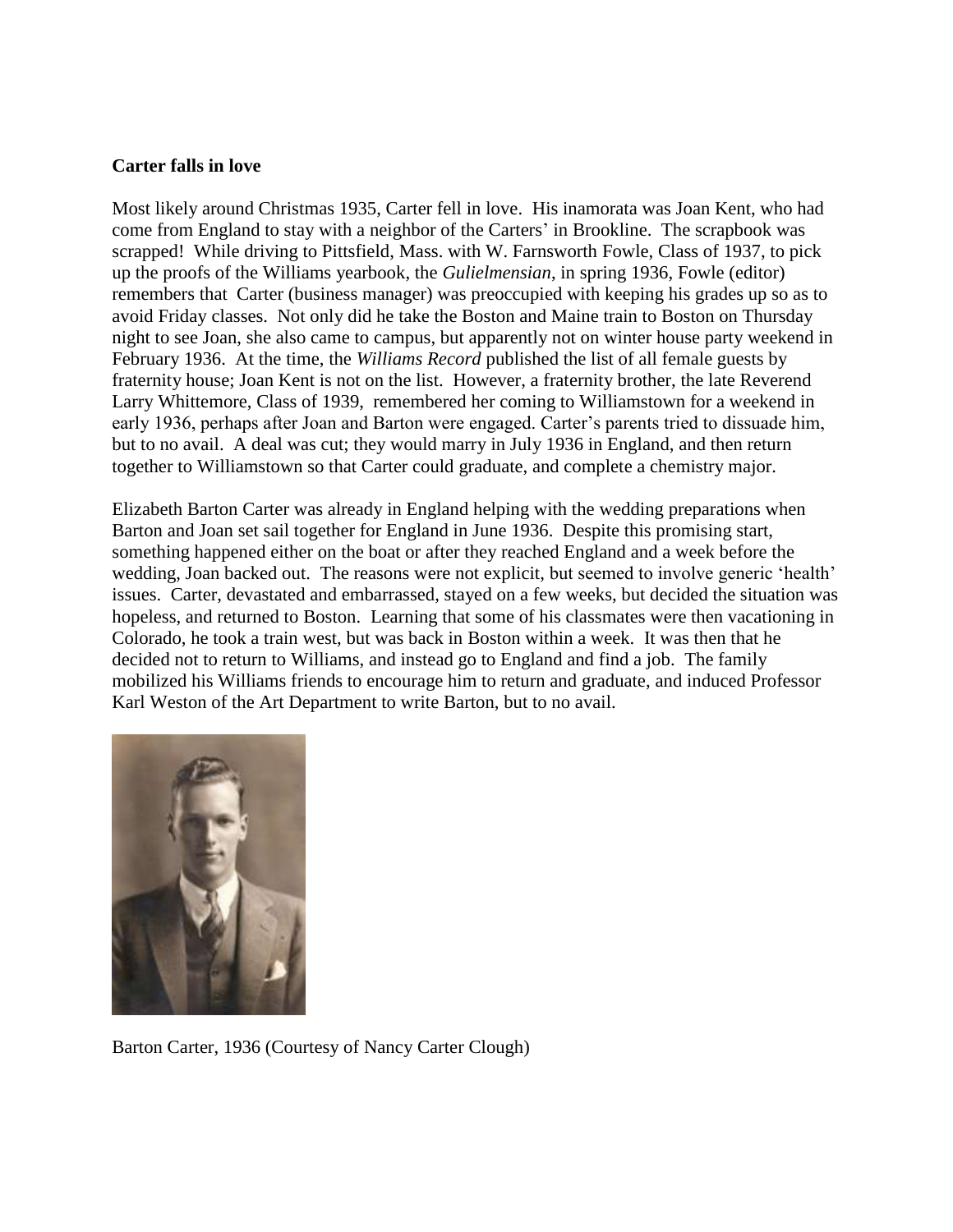#### **Carter falls in love**

Most likely around Christmas 1935, Carter fell in love. His inamorata was Joan Kent, who had come from England to stay with a neighbor of the Carters' in Brookline. The scrapbook was scrapped! While driving to Pittsfield, Mass. with W. Farnsworth Fowle, Class of 1937, to pick up the proofs of the Williams yearbook, the *Gulielmensian*, in spring 1936, Fowle (editor) remembers that Carter (business manager) was preoccupied with keeping his grades up so as to avoid Friday classes. Not only did he take the Boston and Maine train to Boston on Thursday night to see Joan, she also came to campus, but apparently not on winter house party weekend in February 1936. At the time, the *Williams Record* published the list of all female guests by fraternity house; Joan Kent is not on the list. However, a fraternity brother, the late Reverend Larry Whittemore, Class of 1939, remembered her coming to Williamstown for a weekend in early 1936, perhaps after Joan and Barton were engaged. Carter's parents tried to dissuade him, but to no avail. A deal was cut; they would marry in July 1936 in England, and then return together to Williamstown so that Carter could graduate, and complete a chemistry major.

Elizabeth Barton Carter was already in England helping with the wedding preparations when Barton and Joan set sail together for England in June 1936. Despite this promising start, something happened either on the boat or after they reached England and a week before the wedding, Joan backed out. The reasons were not explicit, but seemed to involve generic 'health' issues. Carter, devastated and embarrassed, stayed on a few weeks, but decided the situation was hopeless, and returned to Boston. Learning that some of his classmates were then vacationing in Colorado, he took a train west, but was back in Boston within a week. It was then that he decided not to return to Williams, and instead go to England and find a job. The family mobilized his Williams friends to encourage him to return and graduate, and induced Professor Karl Weston of the Art Department to write Barton, but to no avail.



Barton Carter, 1936 (Courtesy of Nancy Carter Clough)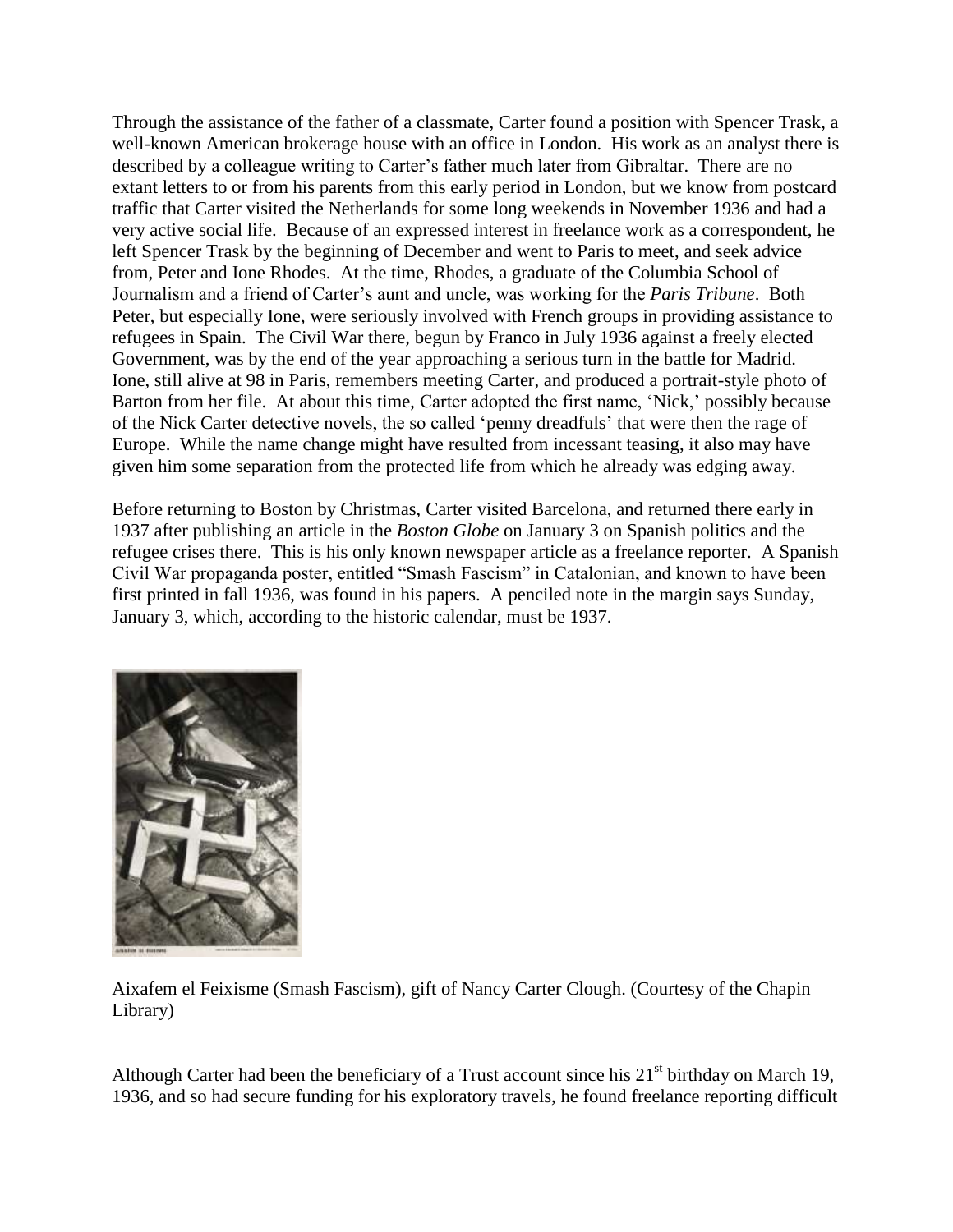Through the assistance of the father of a classmate, Carter found a position with Spencer Trask, a well-known American brokerage house with an office in London. His work as an analyst there is described by a colleague writing to Carter's father much later from Gibraltar. There are no extant letters to or from his parents from this early period in London, but we know from postcard traffic that Carter visited the Netherlands for some long weekends in November 1936 and had a very active social life. Because of an expressed interest in freelance work as a correspondent, he left Spencer Trask by the beginning of December and went to Paris to meet, and seek advice from, Peter and Ione Rhodes. At the time, Rhodes, a graduate of the Columbia School of Journalism and a friend of Carter"s aunt and uncle, was working for the *Paris Tribune*. Both Peter, but especially Ione, were seriously involved with French groups in providing assistance to refugees in Spain. The Civil War there, begun by Franco in July 1936 against a freely elected Government, was by the end of the year approaching a serious turn in the battle for Madrid. Ione, still alive at 98 in Paris, remembers meeting Carter, and produced a portrait-style photo of Barton from her file. At about this time, Carter adopted the first name, 'Nick,' possibly because of the Nick Carter detective novels, the so called "penny dreadfuls" that were then the rage of Europe. While the name change might have resulted from incessant teasing, it also may have given him some separation from the protected life from which he already was edging away.

Before returning to Boston by Christmas, Carter visited Barcelona, and returned there early in 1937 after publishing an article in the *Boston Globe* on January 3 on Spanish politics and the refugee crises there. This is his only known newspaper article as a freelance reporter. A Spanish Civil War propaganda poster, entitled "Smash Fascism" in Catalonian, and known to have been first printed in fall 1936, was found in his papers. A penciled note in the margin says Sunday, January 3, which, according to the historic calendar, must be 1937.



Aixafem el Feixisme (Smash Fascism), gift of Nancy Carter Clough. (Courtesy of the Chapin Library)

Although Carter had been the beneficiary of a Trust account since his  $21<sup>st</sup>$  birthday on March 19, 1936, and so had secure funding for his exploratory travels, he found freelance reporting difficult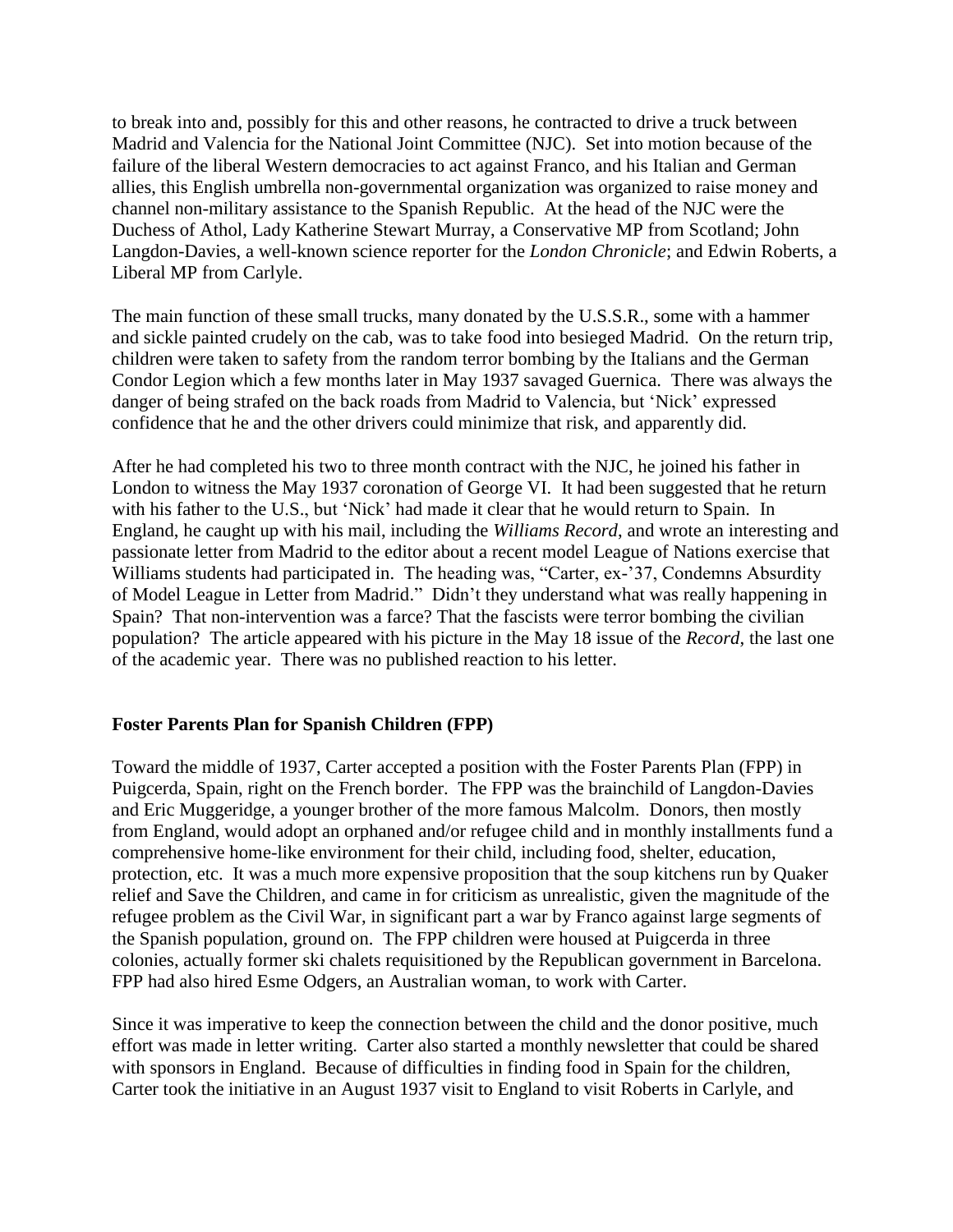to break into and, possibly for this and other reasons, he contracted to drive a truck between Madrid and Valencia for the National Joint Committee (NJC). Set into motion because of the failure of the liberal Western democracies to act against Franco, and his Italian and German allies, this English umbrella non-governmental organization was organized to raise money and channel non-military assistance to the Spanish Republic. At the head of the NJC were the Duchess of Athol, Lady Katherine Stewart Murray, a Conservative MP from Scotland; John Langdon-Davies, a well-known science reporter for the *London Chronicle*; and Edwin Roberts, a Liberal MP from Carlyle.

The main function of these small trucks, many donated by the U.S.S.R., some with a hammer and sickle painted crudely on the cab, was to take food into besieged Madrid. On the return trip, children were taken to safety from the random terror bombing by the Italians and the German Condor Legion which a few months later in May 1937 savaged Guernica. There was always the danger of being strafed on the back roads from Madrid to Valencia, but "Nick" expressed confidence that he and the other drivers could minimize that risk, and apparently did.

After he had completed his two to three month contract with the NJC, he joined his father in London to witness the May 1937 coronation of George VI. It had been suggested that he return with his father to the U.S., but "Nick" had made it clear that he would return to Spain. In England, he caught up with his mail, including the *Williams Record*, and wrote an interesting and passionate letter from Madrid to the editor about a recent model League of Nations exercise that Williams students had participated in. The heading was, "Carter, ex-'37, Condemns Absurdity of Model League in Letter from Madrid." Didn"t they understand what was really happening in Spain? That non-intervention was a farce? That the fascists were terror bombing the civilian population? The article appeared with his picture in the May 18 issue of the *Record*, the last one of the academic year. There was no published reaction to his letter.

## **Foster Parents Plan for Spanish Children (FPP)**

Toward the middle of 1937, Carter accepted a position with the Foster Parents Plan (FPP) in Puigcerda, Spain, right on the French border. The FPP was the brainchild of Langdon-Davies and Eric Muggeridge, a younger brother of the more famous Malcolm. Donors, then mostly from England, would adopt an orphaned and/or refugee child and in monthly installments fund a comprehensive home-like environment for their child, including food, shelter, education, protection, etc. It was a much more expensive proposition that the soup kitchens run by Quaker relief and Save the Children, and came in for criticism as unrealistic, given the magnitude of the refugee problem as the Civil War, in significant part a war by Franco against large segments of the Spanish population, ground on. The FPP children were housed at Puigcerda in three colonies, actually former ski chalets requisitioned by the Republican government in Barcelona. FPP had also hired Esme Odgers, an Australian woman, to work with Carter.

Since it was imperative to keep the connection between the child and the donor positive, much effort was made in letter writing. Carter also started a monthly newsletter that could be shared with sponsors in England. Because of difficulties in finding food in Spain for the children, Carter took the initiative in an August 1937 visit to England to visit Roberts in Carlyle, and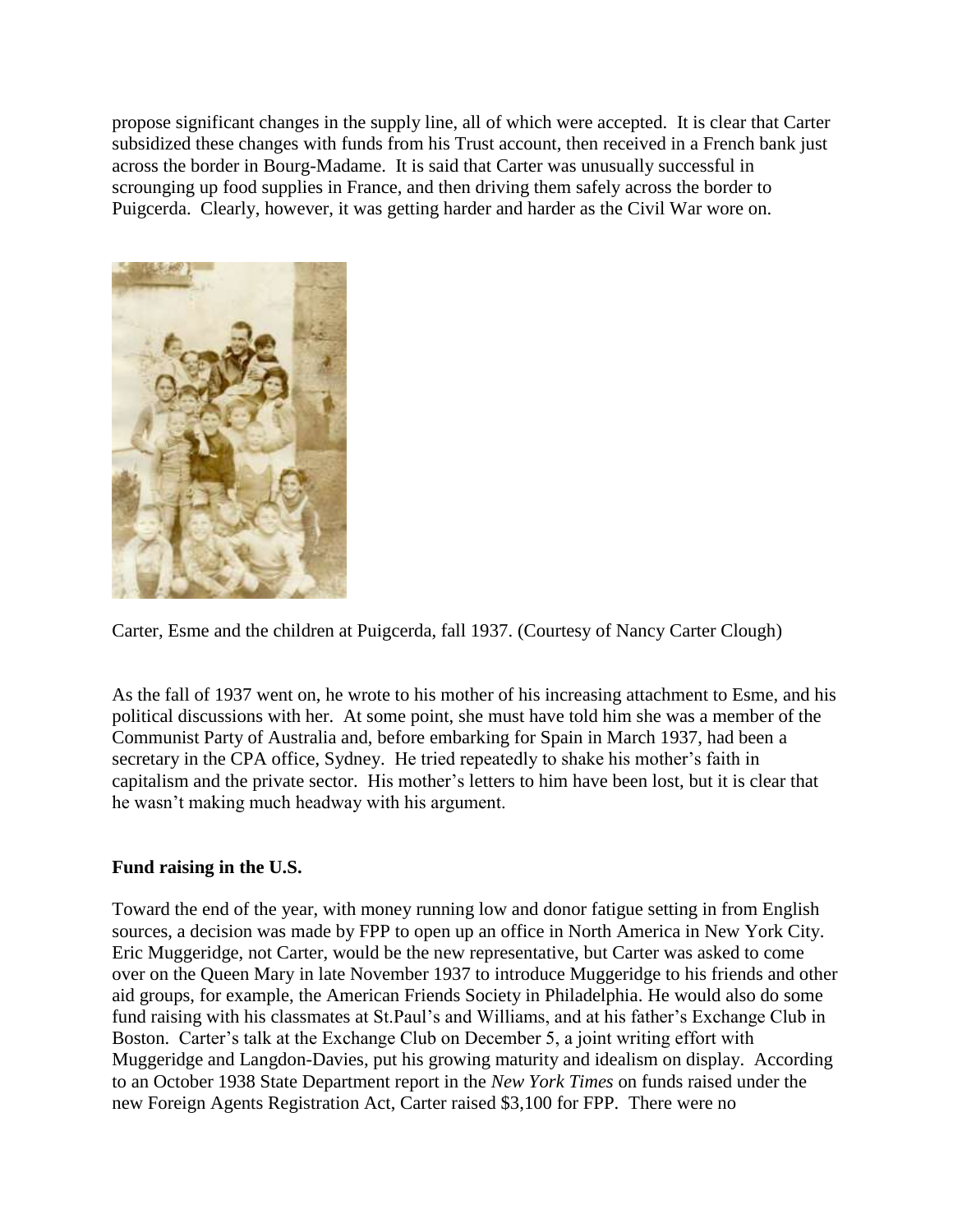propose significant changes in the supply line, all of which were accepted. It is clear that Carter subsidized these changes with funds from his Trust account, then received in a French bank just across the border in Bourg-Madame. It is said that Carter was unusually successful in scrounging up food supplies in France, and then driving them safely across the border to Puigcerda. Clearly, however, it was getting harder and harder as the Civil War wore on.



Carter, Esme and the children at Puigcerda, fall 1937. (Courtesy of Nancy Carter Clough)

As the fall of 1937 went on, he wrote to his mother of his increasing attachment to Esme, and his political discussions with her. At some point, she must have told him she was a member of the Communist Party of Australia and, before embarking for Spain in March 1937, had been a secretary in the CPA office, Sydney. He tried repeatedly to shake his mother's faith in capitalism and the private sector. His mother"s letters to him have been lost, but it is clear that he wasn"t making much headway with his argument.

## **Fund raising in the U.S.**

Toward the end of the year, with money running low and donor fatigue setting in from English sources, a decision was made by FPP to open up an office in North America in New York City. Eric Muggeridge, not Carter, would be the new representative, but Carter was asked to come over on the Queen Mary in late November 1937 to introduce Muggeridge to his friends and other aid groups, for example, the American Friends Society in Philadelphia. He would also do some fund raising with his classmates at St.Paul"s and Williams, and at his father"s Exchange Club in Boston. Carter's talk at the Exchange Club on December 5, a joint writing effort with Muggeridge and Langdon-Davies, put his growing maturity and idealism on display. According to an October 1938 State Department report in the *New York Times* on funds raised under the new Foreign Agents Registration Act, Carter raised \$3,100 for FPP. There were no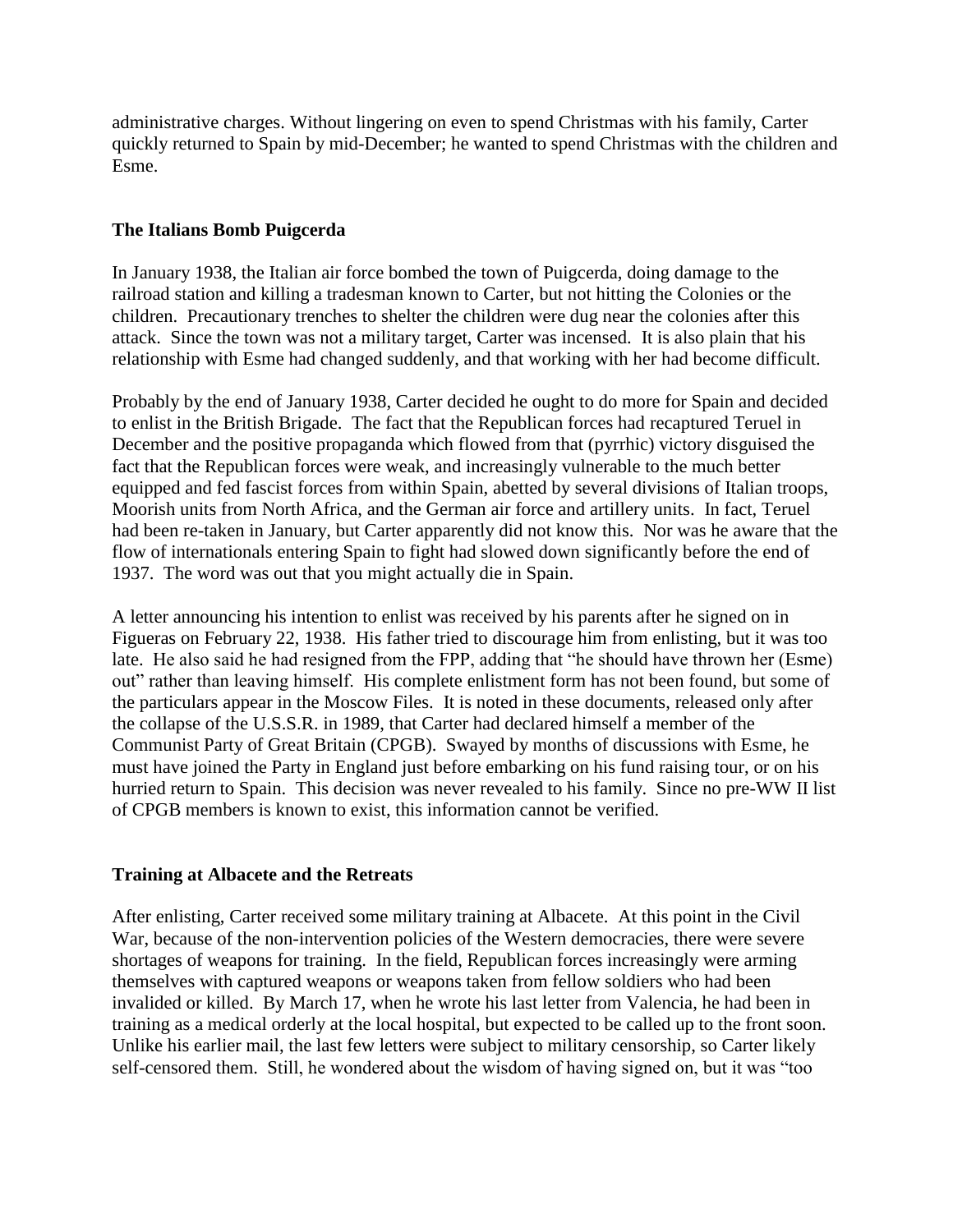administrative charges. Without lingering on even to spend Christmas with his family, Carter quickly returned to Spain by mid-December; he wanted to spend Christmas with the children and Esme.

## **The Italians Bomb Puigcerda**

In January 1938, the Italian air force bombed the town of Puigcerda, doing damage to the railroad station and killing a tradesman known to Carter, but not hitting the Colonies or the children. Precautionary trenches to shelter the children were dug near the colonies after this attack. Since the town was not a military target, Carter was incensed. It is also plain that his relationship with Esme had changed suddenly, and that working with her had become difficult.

Probably by the end of January 1938, Carter decided he ought to do more for Spain and decided to enlist in the British Brigade. The fact that the Republican forces had recaptured Teruel in December and the positive propaganda which flowed from that (pyrrhic) victory disguised the fact that the Republican forces were weak, and increasingly vulnerable to the much better equipped and fed fascist forces from within Spain, abetted by several divisions of Italian troops, Moorish units from North Africa, and the German air force and artillery units. In fact, Teruel had been re-taken in January, but Carter apparently did not know this. Nor was he aware that the flow of internationals entering Spain to fight had slowed down significantly before the end of 1937. The word was out that you might actually die in Spain.

A letter announcing his intention to enlist was received by his parents after he signed on in Figueras on February 22, 1938. His father tried to discourage him from enlisting, but it was too late. He also said he had resigned from the FPP, adding that "he should have thrown her (Esme) out" rather than leaving himself. His complete enlistment form has not been found, but some of the particulars appear in the Moscow Files. It is noted in these documents, released only after the collapse of the U.S.S.R. in 1989, that Carter had declared himself a member of the Communist Party of Great Britain (CPGB). Swayed by months of discussions with Esme, he must have joined the Party in England just before embarking on his fund raising tour, or on his hurried return to Spain. This decision was never revealed to his family. Since no pre-WW II list of CPGB members is known to exist, this information cannot be verified.

## **Training at Albacete and the Retreats**

After enlisting, Carter received some military training at Albacete. At this point in the Civil War, because of the non-intervention policies of the Western democracies, there were severe shortages of weapons for training. In the field, Republican forces increasingly were arming themselves with captured weapons or weapons taken from fellow soldiers who had been invalided or killed. By March 17, when he wrote his last letter from Valencia, he had been in training as a medical orderly at the local hospital, but expected to be called up to the front soon. Unlike his earlier mail, the last few letters were subject to military censorship, so Carter likely self-censored them. Still, he wondered about the wisdom of having signed on, but it was "too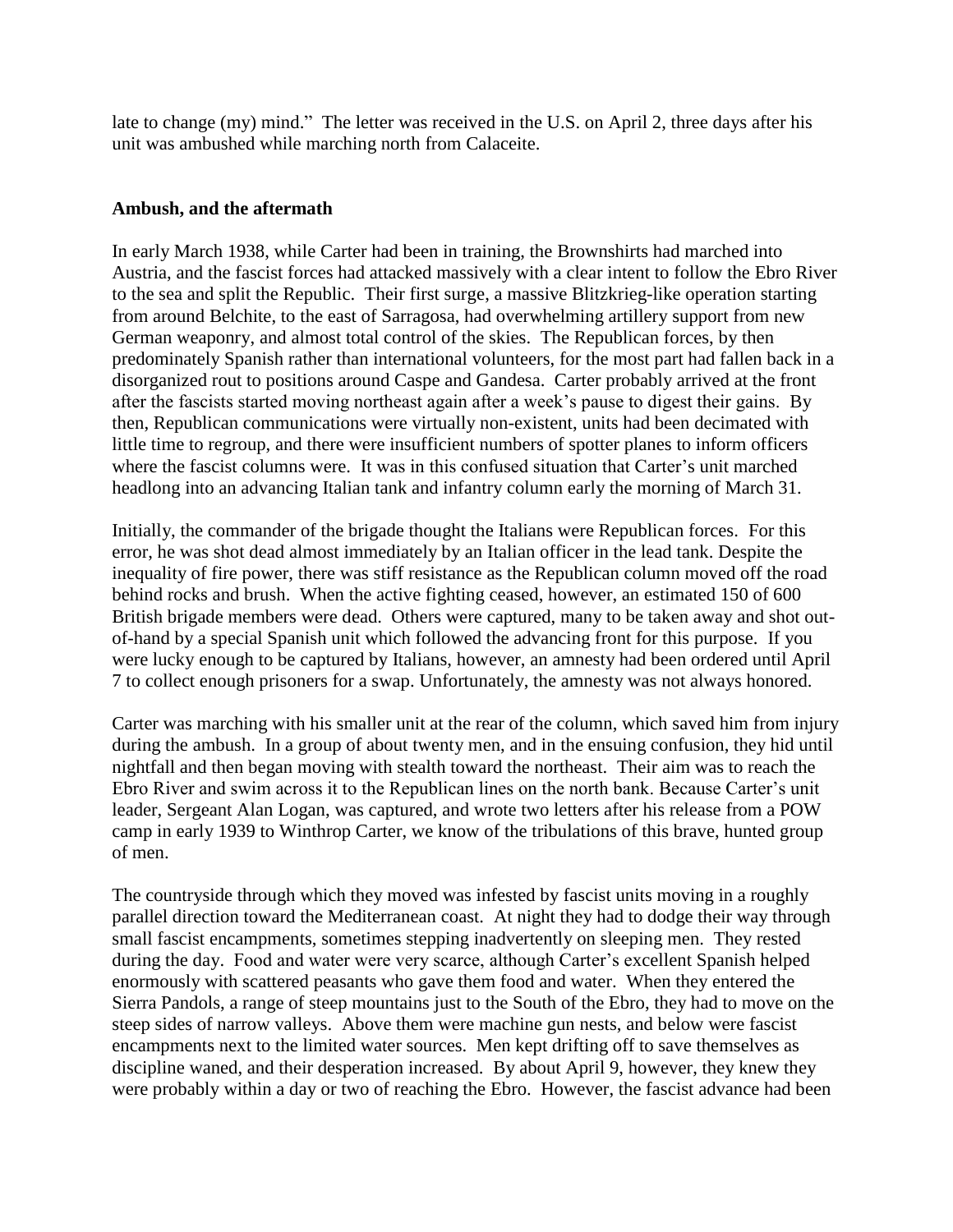late to change (my) mind." The letter was received in the U.S. on April 2, three days after his unit was ambushed while marching north from Calaceite.

## **Ambush, and the aftermath**

In early March 1938, while Carter had been in training, the Brownshirts had marched into Austria, and the fascist forces had attacked massively with a clear intent to follow the Ebro River to the sea and split the Republic. Their first surge, a massive Blitzkrieg-like operation starting from around Belchite, to the east of Sarragosa, had overwhelming artillery support from new German weaponry, and almost total control of the skies. The Republican forces, by then predominately Spanish rather than international volunteers, for the most part had fallen back in a disorganized rout to positions around Caspe and Gandesa. Carter probably arrived at the front after the fascists started moving northeast again after a week"s pause to digest their gains. By then, Republican communications were virtually non-existent, units had been decimated with little time to regroup, and there were insufficient numbers of spotter planes to inform officers where the fascist columns were. It was in this confused situation that Carter's unit marched headlong into an advancing Italian tank and infantry column early the morning of March 31.

Initially, the commander of the brigade thought the Italians were Republican forces. For this error, he was shot dead almost immediately by an Italian officer in the lead tank. Despite the inequality of fire power, there was stiff resistance as the Republican column moved off the road behind rocks and brush. When the active fighting ceased, however, an estimated 150 of 600 British brigade members were dead. Others were captured, many to be taken away and shot outof-hand by a special Spanish unit which followed the advancing front for this purpose. If you were lucky enough to be captured by Italians, however, an amnesty had been ordered until April 7 to collect enough prisoners for a swap. Unfortunately, the amnesty was not always honored.

Carter was marching with his smaller unit at the rear of the column, which saved him from injury during the ambush. In a group of about twenty men, and in the ensuing confusion, they hid until nightfall and then began moving with stealth toward the northeast. Their aim was to reach the Ebro River and swim across it to the Republican lines on the north bank. Because Carter"s unit leader, Sergeant Alan Logan, was captured, and wrote two letters after his release from a POW camp in early 1939 to Winthrop Carter, we know of the tribulations of this brave, hunted group of men.

The countryside through which they moved was infested by fascist units moving in a roughly parallel direction toward the Mediterranean coast. At night they had to dodge their way through small fascist encampments, sometimes stepping inadvertently on sleeping men. They rested during the day. Food and water were very scarce, although Carter's excellent Spanish helped enormously with scattered peasants who gave them food and water. When they entered the Sierra Pandols, a range of steep mountains just to the South of the Ebro, they had to move on the steep sides of narrow valleys. Above them were machine gun nests, and below were fascist encampments next to the limited water sources. Men kept drifting off to save themselves as discipline waned, and their desperation increased. By about April 9, however, they knew they were probably within a day or two of reaching the Ebro. However, the fascist advance had been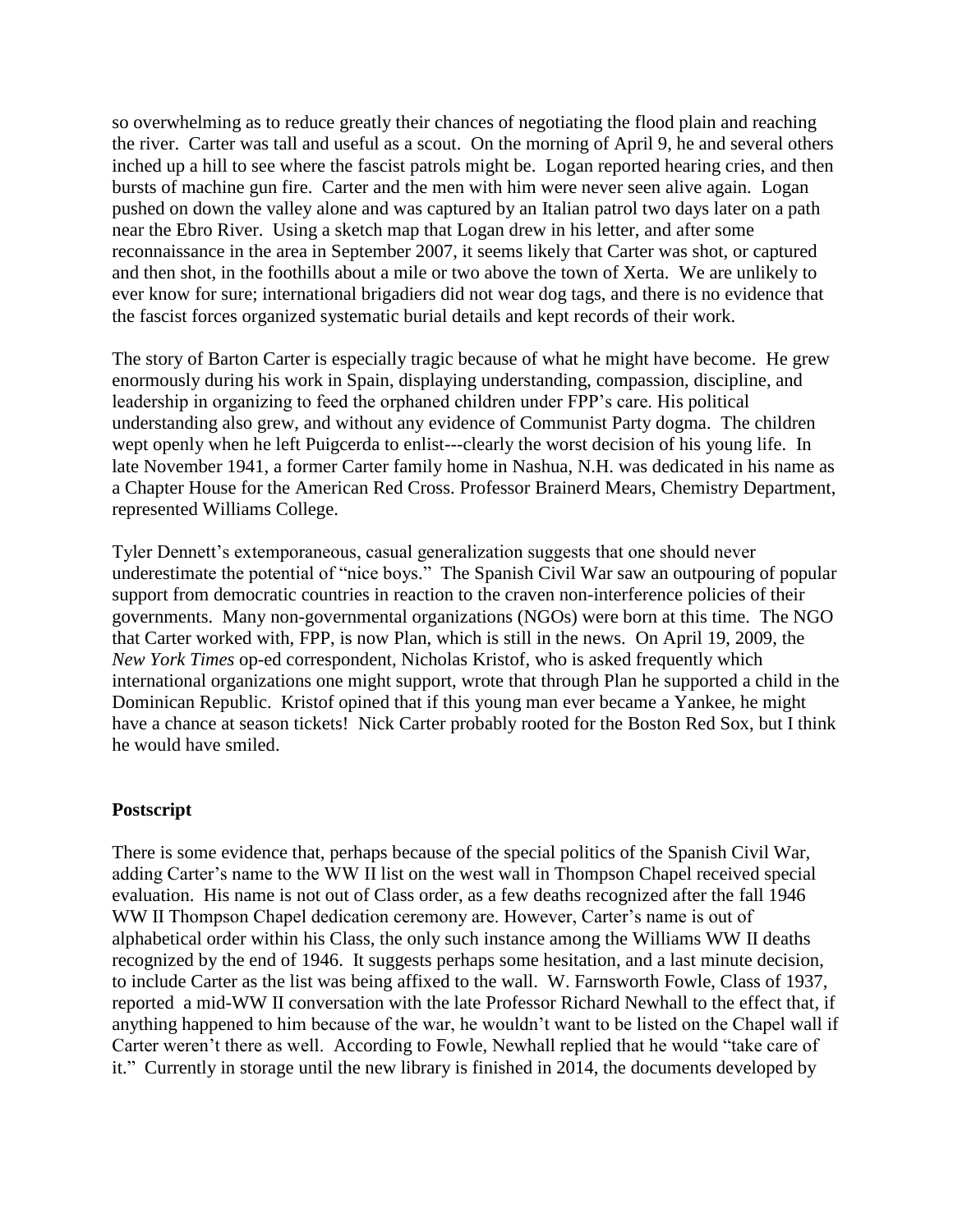so overwhelming as to reduce greatly their chances of negotiating the flood plain and reaching the river. Carter was tall and useful as a scout. On the morning of April 9, he and several others inched up a hill to see where the fascist patrols might be. Logan reported hearing cries, and then bursts of machine gun fire. Carter and the men with him were never seen alive again. Logan pushed on down the valley alone and was captured by an Italian patrol two days later on a path near the Ebro River. Using a sketch map that Logan drew in his letter, and after some reconnaissance in the area in September 2007, it seems likely that Carter was shot, or captured and then shot, in the foothills about a mile or two above the town of Xerta. We are unlikely to ever know for sure; international brigadiers did not wear dog tags, and there is no evidence that the fascist forces organized systematic burial details and kept records of their work.

The story of Barton Carter is especially tragic because of what he might have become. He grew enormously during his work in Spain, displaying understanding, compassion, discipline, and leadership in organizing to feed the orphaned children under FPP"s care. His political understanding also grew, and without any evidence of Communist Party dogma. The children wept openly when he left Puigcerda to enlist---clearly the worst decision of his young life. In late November 1941, a former Carter family home in Nashua, N.H. was dedicated in his name as a Chapter House for the American Red Cross. Professor Brainerd Mears, Chemistry Department, represented Williams College.

Tyler Dennett's extemporaneous, casual generalization suggests that one should never underestimate the potential of "nice boys." The Spanish Civil War saw an outpouring of popular support from democratic countries in reaction to the craven non-interference policies of their governments. Many non-governmental organizations (NGOs) were born at this time. The NGO that Carter worked with, FPP, is now Plan, which is still in the news. On April 19, 2009, the *New York Times* op-ed correspondent, Nicholas Kristof, who is asked frequently which international organizations one might support, wrote that through Plan he supported a child in the Dominican Republic. Kristof opined that if this young man ever became a Yankee, he might have a chance at season tickets! Nick Carter probably rooted for the Boston Red Sox, but I think he would have smiled.

## **Postscript**

There is some evidence that, perhaps because of the special politics of the Spanish Civil War, adding Carter"s name to the WW II list on the west wall in Thompson Chapel received special evaluation. His name is not out of Class order, as a few deaths recognized after the fall 1946 WW II Thompson Chapel dedication ceremony are. However, Carter's name is out of alphabetical order within his Class, the only such instance among the Williams WW II deaths recognized by the end of 1946. It suggests perhaps some hesitation, and a last minute decision, to include Carter as the list was being affixed to the wall. W. Farnsworth Fowle, Class of 1937, reported a mid-WW II conversation with the late Professor Richard Newhall to the effect that, if anything happened to him because of the war, he wouldn"t want to be listed on the Chapel wall if Carter weren"t there as well. According to Fowle, Newhall replied that he would "take care of it." Currently in storage until the new library is finished in 2014, the documents developed by